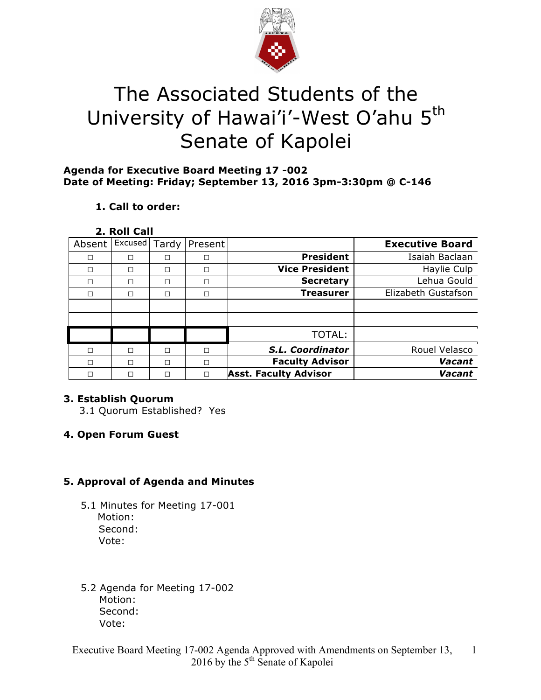

# The Associated Students of the University of Hawai'i'-West O'ahu 5<sup>th</sup> Senate of Kapolei

#### **Agenda for Executive Board Meeting 17 -002 Date of Meeting: Friday; September 13, 2016 3pm-3:30pm @ C-146**

# **1. Call to order:**

#### **2. Roll Call**

| Absent | Excused | Tardy | Present |                              | <b>Executive Board</b> |
|--------|---------|-------|---------|------------------------------|------------------------|
| П      | П       | П     | П       | <b>President</b>             | Isaiah Baclaan         |
| П      | П       | П     | П       | <b>Vice President</b>        | Haylie Culp            |
| п      | п       | г     |         | <b>Secretary</b>             | Lehua Gould            |
| П      | П       | П     | П       | <b>Treasurer</b>             | Elizabeth Gustafson    |
|        |         |       |         |                              |                        |
|        |         |       |         |                              |                        |
|        |         |       |         | TOTAL:                       |                        |
| П      | П       | П     | П       | S.L. Coordinator             | Rouel Velasco          |
| П      | П       | П     | П       | <b>Faculty Advisor</b>       | Vacant                 |
|        | П       | Г     |         | <b>Asst. Faculty Advisor</b> | Vacant                 |

# **3. Establish Quorum**

3.1 Quorum Established? Yes

# **4. Open Forum Guest**

# **5. Approval of Agenda and Minutes**

- 5.1 Minutes for Meeting 17-001 Motion: Second: Vote:
- 5.2 Agenda for Meeting 17-002 Motion: Second: Vote: